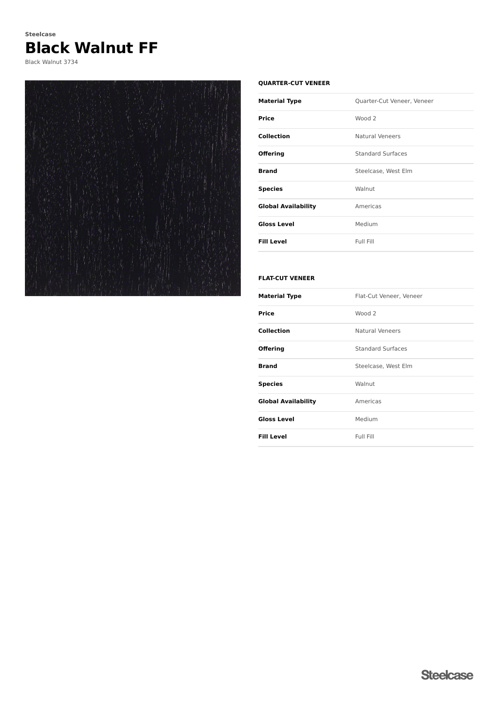# **Black Walnut FF Steelcase**

Black Walnut 3734



### **QUARTER-CUT VENEER**

| <b>Material Type</b>       | Quarter-Cut Veneer, Veneer |
|----------------------------|----------------------------|
| Price                      | Wood 2                     |
| Collection                 | <b>Natural Veneers</b>     |
| <b>Offering</b>            | <b>Standard Surfaces</b>   |
| <b>Brand</b>               | Steelcase, West Elm        |
| <b>Species</b>             | Walnut                     |
| <b>Global Availability</b> | Americas                   |
| <b>Gloss Level</b>         | Medium                     |
| <b>Fill Level</b>          | Full Fill                  |

## **FLAT-CUT VENEER**

| <b>Material Type</b>       | Flat-Cut Veneer, Veneer  |
|----------------------------|--------------------------|
| <b>Price</b>               | Wood 2                   |
| <b>Collection</b>          | <b>Natural Veneers</b>   |
| <b>Offering</b>            | <b>Standard Surfaces</b> |
| <b>Brand</b>               | Steelcase, West Elm      |
| <b>Species</b>             | Walnut                   |
| <b>Global Availability</b> | Americas                 |
| <b>Gloss Level</b>         | Medium                   |
| <b>Fill Level</b>          | Full Fill                |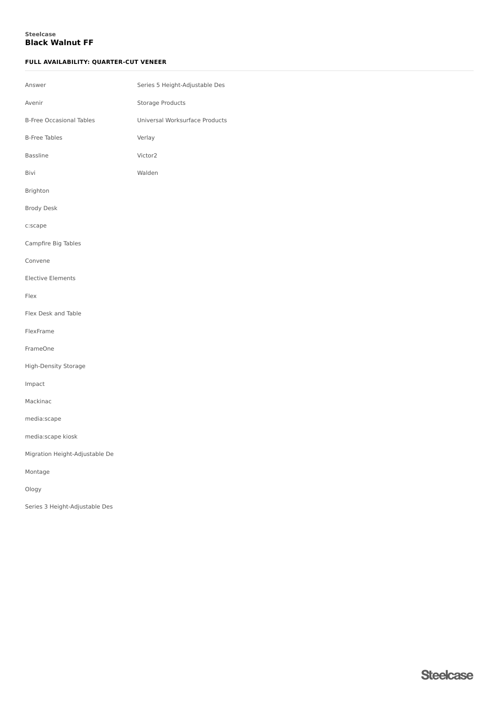## **Black Walnut FF Steelcase**

## **FULL AVAILABILITY: QUARTER-CUT VENEER**

| Answer                          | Series 5 Height-Adjustable Des |
|---------------------------------|--------------------------------|
| Avenir                          | Storage Products               |
| <b>B-Free Occasional Tables</b> | Universal Worksurface Products |
| <b>B-Free Tables</b>            | Verlay                         |
| <b>Bassline</b>                 | Victor2                        |
| Bivi                            | Walden                         |
| Brighton                        |                                |
| <b>Brody Desk</b>               |                                |
| c:scape                         |                                |
| Campfire Big Tables             |                                |
| Convene                         |                                |
| <b>Elective Elements</b>        |                                |
| Flex                            |                                |
| Flex Desk and Table             |                                |
| FlexFrame                       |                                |
| FrameOne                        |                                |
| High-Density Storage            |                                |
| Impact                          |                                |
| Mackinac                        |                                |
| media:scape                     |                                |
| media:scape kiosk               |                                |
| Migration Height-Adjustable De  |                                |
| Montage                         |                                |
| Ology                           |                                |
| Series 3 Height-Adjustable Des  |                                |